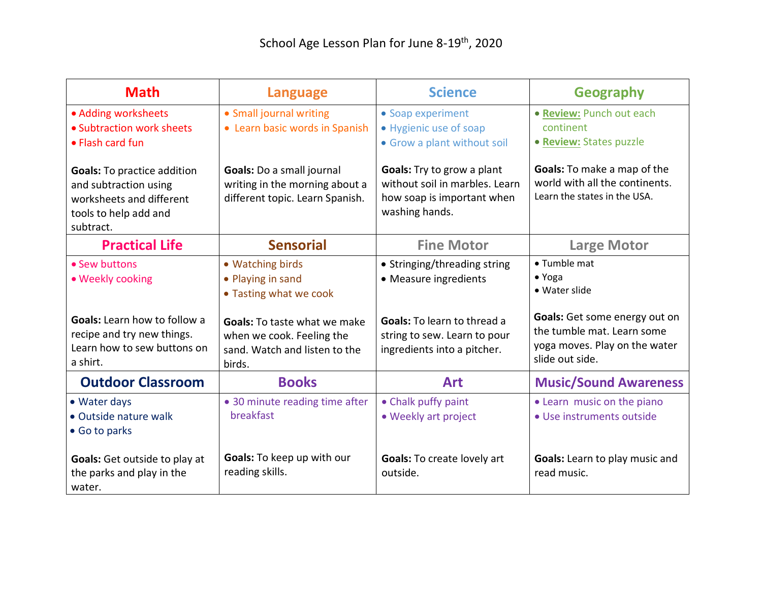| <b>Math</b>                                                                                                                           | <b>Language</b>                                                                                                                                                      | <b>Science</b>                                                                                                                                             | <b>Geography</b>                                                                                                                                                          |
|---------------------------------------------------------------------------------------------------------------------------------------|----------------------------------------------------------------------------------------------------------------------------------------------------------------------|------------------------------------------------------------------------------------------------------------------------------------------------------------|---------------------------------------------------------------------------------------------------------------------------------------------------------------------------|
| • Adding worksheets<br>• Subtraction work sheets<br>• Flash card fun                                                                  | • Small journal writing<br>• Learn basic words in Spanish                                                                                                            | • Soap experiment<br>• Hygienic use of soap<br>• Grow a plant without soil                                                                                 | • Review: Punch out each<br>continent<br>• Review: States puzzle                                                                                                          |
| <b>Goals:</b> To practice addition<br>and subtraction using<br>worksheets and different<br>tools to help add and<br>subtract.         | Goals: Do a small journal<br>writing in the morning about a<br>different topic. Learn Spanish.                                                                       | Goals: Try to grow a plant<br>without soil in marbles. Learn<br>how soap is important when<br>washing hands.                                               | <b>Goals:</b> To make a map of the<br>world with all the continents.<br>Learn the states in the USA.                                                                      |
| <b>Practical Life</b>                                                                                                                 | <b>Sensorial</b>                                                                                                                                                     | <b>Fine Motor</b>                                                                                                                                          | <b>Large Motor</b>                                                                                                                                                        |
| • Sew buttons<br>• Weekly cooking<br><b>Goals:</b> Learn how to follow a<br>recipe and try new things.<br>Learn how to sew buttons on | • Watching birds<br>• Playing in sand<br>• Tasting what we cook<br><b>Goals:</b> To taste what we make<br>when we cook. Feeling the<br>sand. Watch and listen to the | • Stringing/threading string<br>• Measure ingredients<br><b>Goals:</b> To learn to thread a<br>string to sew. Learn to pour<br>ingredients into a pitcher. | • Tumble mat<br>$\bullet$ Yoga<br>• Water slide<br><b>Goals:</b> Get some energy out on<br>the tumble mat. Learn some<br>yoga moves. Play on the water<br>slide out side. |
| a shirt.<br><b>Outdoor Classroom</b>                                                                                                  | birds.<br><b>Books</b>                                                                                                                                               | <b>Art</b>                                                                                                                                                 | <b>Music/Sound Awareness</b>                                                                                                                                              |
| • Water days<br>• Outside nature walk<br>• Go to parks                                                                                | • 30 minute reading time after<br>breakfast                                                                                                                          | • Chalk puffy paint<br>• Weekly art project                                                                                                                | • Learn music on the piano<br>• Use instruments outside                                                                                                                   |
| <b>Goals:</b> Get outside to play at<br>the parks and play in the<br>water.                                                           | Goals: To keep up with our<br>reading skills.                                                                                                                        | Goals: To create lovely art<br>outside.                                                                                                                    | Goals: Learn to play music and<br>read music.                                                                                                                             |